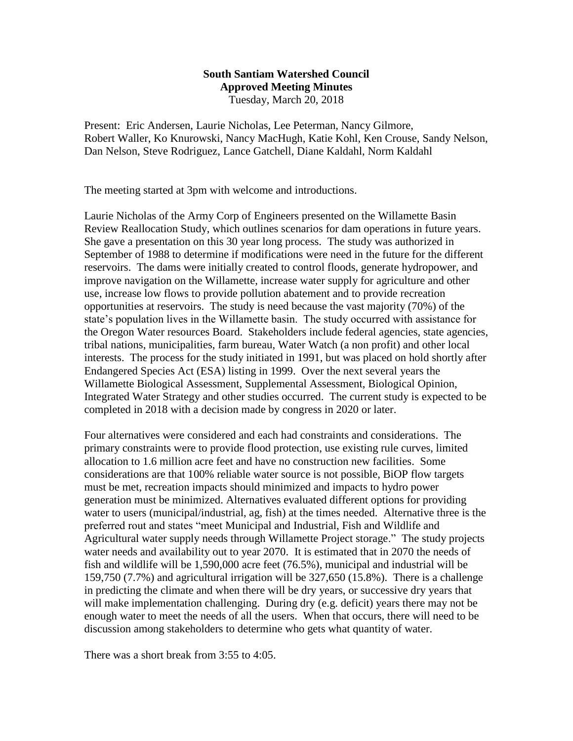## **South Santiam Watershed Council Approved Meeting Minutes** Tuesday, March 20, 2018

Present: Eric Andersen, Laurie Nicholas, Lee Peterman, Nancy Gilmore, Robert Waller, Ko Knurowski, Nancy MacHugh, Katie Kohl, Ken Crouse, Sandy Nelson, Dan Nelson, Steve Rodriguez, Lance Gatchell, Diane Kaldahl, Norm Kaldahl

The meeting started at 3pm with welcome and introductions.

Laurie Nicholas of the Army Corp of Engineers presented on the Willamette Basin Review Reallocation Study, which outlines scenarios for dam operations in future years. She gave a presentation on this 30 year long process. The study was authorized in September of 1988 to determine if modifications were need in the future for the different reservoirs. The dams were initially created to control floods, generate hydropower, and improve navigation on the Willamette, increase water supply for agriculture and other use, increase low flows to provide pollution abatement and to provide recreation opportunities at reservoirs. The study is need because the vast majority (70%) of the state's population lives in the Willamette basin. The study occurred with assistance for the Oregon Water resources Board. Stakeholders include federal agencies, state agencies, tribal nations, municipalities, farm bureau, Water Watch (a non profit) and other local interests. The process for the study initiated in 1991, but was placed on hold shortly after Endangered Species Act (ESA) listing in 1999. Over the next several years the Willamette Biological Assessment, Supplemental Assessment, Biological Opinion, Integrated Water Strategy and other studies occurred. The current study is expected to be completed in 2018 with a decision made by congress in 2020 or later.

Four alternatives were considered and each had constraints and considerations. The primary constraints were to provide flood protection, use existing rule curves, limited allocation to 1.6 million acre feet and have no construction new facilities. Some considerations are that 100% reliable water source is not possible, BiOP flow targets must be met, recreation impacts should minimized and impacts to hydro power generation must be minimized. Alternatives evaluated different options for providing water to users (municipal/industrial, ag, fish) at the times needed. Alternative three is the preferred rout and states "meet Municipal and Industrial, Fish and Wildlife and Agricultural water supply needs through Willamette Project storage." The study projects water needs and availability out to year 2070. It is estimated that in 2070 the needs of fish and wildlife will be 1,590,000 acre feet (76.5%), municipal and industrial will be 159,750 (7.7%) and agricultural irrigation will be 327,650 (15.8%). There is a challenge in predicting the climate and when there will be dry years, or successive dry years that will make implementation challenging. During dry (e.g. deficit) years there may not be enough water to meet the needs of all the users. When that occurs, there will need to be discussion among stakeholders to determine who gets what quantity of water.

There was a short break from 3:55 to 4:05.